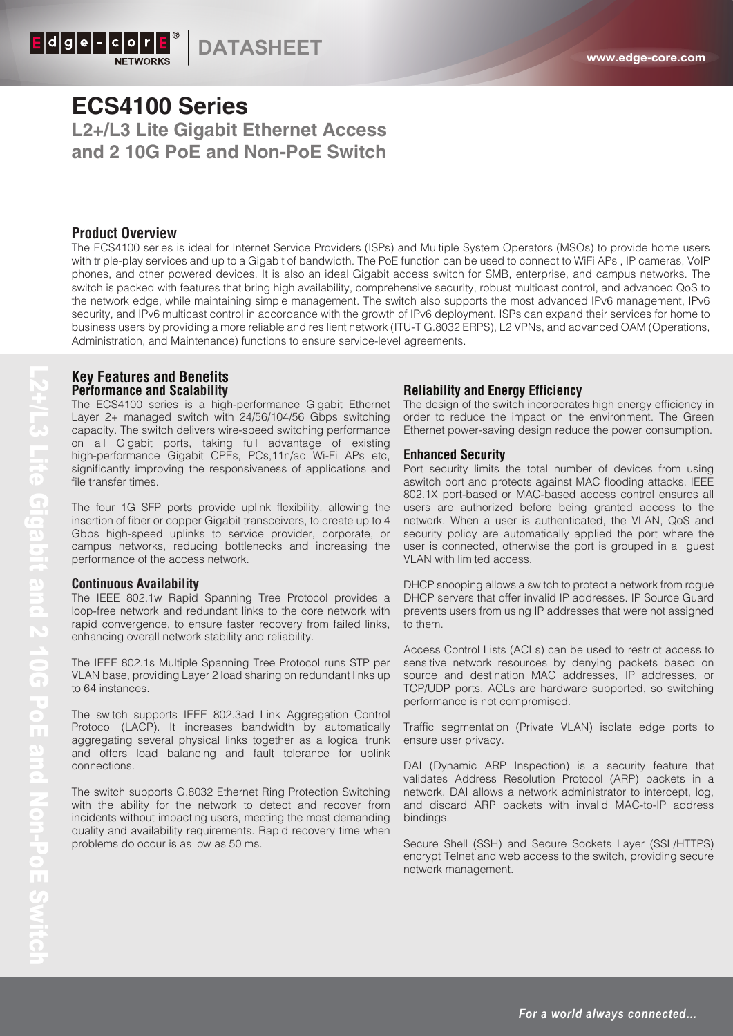**DATASHEET www.edge-core.com**

# **ECS4100 Series L2+/L3 Lite Gigabit Ethernet Access and 2 10G PoE and Non-PoE Switch**

## **Product Overview**

The ECS4100 series is ideal for Internet Service Providers (ISPs) and Multiple System Operators (MSOs) to provide home users with triple-play services and up to a Gigabit of bandwidth. The PoE function can be used to connect to WiFi APs , IP cameras, VoIP phones, and other powered devices. It is also an ideal Gigabit access switch for SMB, enterprise, and campus networks. The switch is packed with features that bring high availability, comprehensive security, robust multicast control, and advanced QoS to the network edge, while maintaining simple management. The switch also supports the most advanced IPv6 management, IPv6 security, and IPv6 multicast control in accordance with the growth of IPv6 deployment. ISPs can expand their services for home to business users by providing a more reliable and resilient network (ITU-T G.8032 ERPS), L2 VPNs, and advanced OAM (Operations, Administration, and Maintenance) functions to ensure service-level agreements.

### **Key Features and Benefits Performance and Scalability**

The ECS4100 series is a high-performance Gigabit Ethernet Layer 2+ managed switch with 24/56/104/56 Gbps switching capacity. The switch delivers wire-speed switching performance on all Gigabit ports, taking full advantage of existing high-performance Gigabit CPEs, PCs,11n/ac Wi-Fi APs etc, significantly improving the responsiveness of applications and file transfer times.

The four 1G SFP ports provide uplink flexibility, allowing the insertion of fiber or copper Gigabit transceivers, to create up to 4 Gbps high-speed uplinks to service provider, corporate, or campus networks, reducing bottlenecks and increasing the performance of the access network.

#### **Continuous Availability**

The IEEE 802.1w Rapid Spanning Tree Protocol provides a loop-free network and redundant links to the core network with rapid convergence, to ensure faster recovery from failed links, enhancing overall network stability and reliability.

The IEEE 802.1s Multiple Spanning Tree Protocol runs STP per VLAN base, providing Layer 2 load sharing on redundant links up to 64 instances.

The switch supports IEEE 802.3ad Link Aggregation Control Protocol (LACP). It increases bandwidth by automatically aggregating several physical links together as a logical trunk and offers load balancing and fault tolerance for uplink connections.

The switch supports G.8032 Ethernet Ring Protection Switching with the ability for the network to detect and recover from incidents without impacting users, meeting the most demanding quality and availability requirements. Rapid recovery time when problems do occur is as low as 50 ms.

### **Reliability and Energy Efficiency**

The design of the switch incorporates high energy efficiency in order to reduce the impact on the environment. The Green Ethernet power-saving design reduce the power consumption.

#### **Enhanced Security**

Port security limits the total number of devices from using aswitch port and protects against MAC flooding attacks. IEEE 802.1X port-based or MAC-based access control ensures all users are authorized before being granted access to the network. When a user is authenticated, the VLAN, QoS and security policy are automatically applied the port where the user is connected, otherwise the port is grouped in a guest VLAN with limited access.

DHCP snooping allows a switch to protect a network from rogue DHCP servers that offer invalid IP addresses. IP Source Guard prevents users from using IP addresses that were not assigned to them.

Access Control Lists (ACLs) can be used to restrict access to sensitive network resources by denying packets based on source and destination MAC addresses, IP addresses, or TCP/UDP ports. ACLs are hardware supported, so switching performance is not compromised.

Traffic segmentation (Private VLAN) isolate edge ports to ensure user privacy.

DAI (Dynamic ARP Inspection) is a security feature that validates Address Resolution Protocol (ARP) packets in a network. DAI allows a network administrator to intercept, log, and discard ARP packets with invalid MAC-to-IP address bindings.

Secure Shell (SSH) and Secure Sockets Layer (SSL/HTTPS) encrypt Telnet and web access to the switch, providing secure network management.

*For a world always connected…*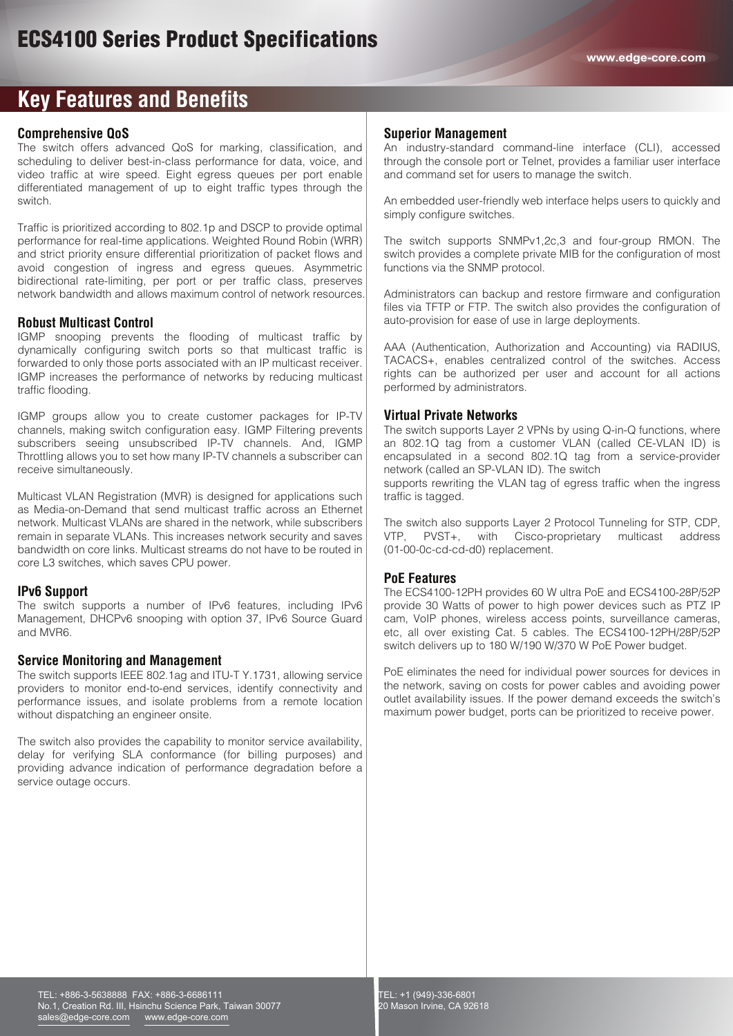# **Key Features and Benefits**

### **Comprehensive QoS**

The switch offers advanced QoS for marking, classification, and scheduling to deliver best-in-class performance for data, voice, and video traffic at wire speed. Eight egress queues per port enable differentiated management of up to eight traffic types through the switch.

Traffic is prioritized according to 802.1p and DSCP to provide optimal performance for real-time applications. Weighted Round Robin (WRR) and strict priority ensure differential prioritization of packet flows and avoid congestion of ingress and egress queues. Asymmetric bidirectional rate-limiting, per port or per traffic class, preserves network bandwidth and allows maximum control of network resources.

### **Robust Multicast Control**

IGMP snooping prevents the flooding of multicast traffic by dynamically configuring switch ports so that multicast traffic is forwarded to only those ports associated with an IP multicast receiver. IGMP increases the performance of networks by reducing multicast traffic flooding.

IGMP groups allow you to create customer packages for IP-TV channels, making switch configuration easy. IGMP Filtering prevents subscribers seeing unsubscribed IP-TV channels. And, IGMP Throttling allows you to set how many IP-TV channels a subscriber can receive simultaneously.

Multicast VLAN Registration (MVR) is designed for applications such as Media-on-Demand that send multicast traffic across an Ethernet network. Multicast VLANs are shared in the network, while subscribers remain in separate VLANs. This increases network security and saves bandwidth on core links. Multicast streams do not have to be routed in core L3 switches, which saves CPU power.

### **IPv6 Support**

The switch supports a number of IPv6 features, including IPv6 Management, DHCPv6 snooping with option 37, IPv6 Source Guard and MVR6.

### **Service Monitoring and Management**

The switch supports IEEE 802.1ag and ITU-T Y.1731, allowing service providers to monitor end-to-end services, identify connectivity and performance issues, and isolate problems from a remote location without dispatching an engineer onsite.

The switch also provides the capability to monitor service availability, delay for verifying SLA conformance (for billing purposes) and providing advance indication of performance degradation before a service outage occurs.

#### **Superior Management**

An industry-standard command-line interface (CLI), accessed through the console port or Telnet, provides a familiar user interface and command set for users to manage the switch.

An embedded user-friendly web interface helps users to quickly and simply configure switches.

The switch supports SNMPv1,2c,3 and four-group RMON. The switch provides a complete private MIB for the configuration of most functions via the SNMP protocol.

Administrators can backup and restore firmware and configuration files via TFTP or FTP. The switch also provides the configuration of auto-provision for ease of use in large deployments.

AAA (Authentication, Authorization and Accounting) via RADIUS, TACACS+, enables centralized control of the switches. Access rights can be authorized per user and account for all actions performed by administrators.

### **Virtual Private Networks**

The switch supports Layer 2 VPNs by using Q-in-Q functions, where an 802.1Q tag from a customer VLAN (called CE-VLAN ID) is encapsulated in a second 802.1Q tag from a service-provider network (called an SP-VLAN ID). The switch

supports rewriting the VLAN tag of egress traffic when the ingress traffic is tagged.

The switch also supports Layer 2 Protocol Tunneling for STP, CDP,<br>VTP, PVST+, with Cisco-proprietary multicast address VTP, PVST+, with Cisco-proprietary multicast address (01-00-0c-cd-cd-d0) replacement.

### **PoE Features**

The ECS4100-12PH provides 60 W ultra PoE and ECS4100-28P/52P provide 30 Watts of power to high power devices such as PTZ IP cam, VoIP phones, wireless access points, surveillance cameras, etc, all over existing Cat. 5 cables. The ECS4100-12PH/28P/52P switch delivers up to 180 W/190 W/370 W PoE Power budget.

PoE eliminates the need for individual power sources for devices in the network, saving on costs for power cables and avoiding power outlet availability issues. If the power demand exceeds the switch's maximum power budget, ports can be prioritized to receive power.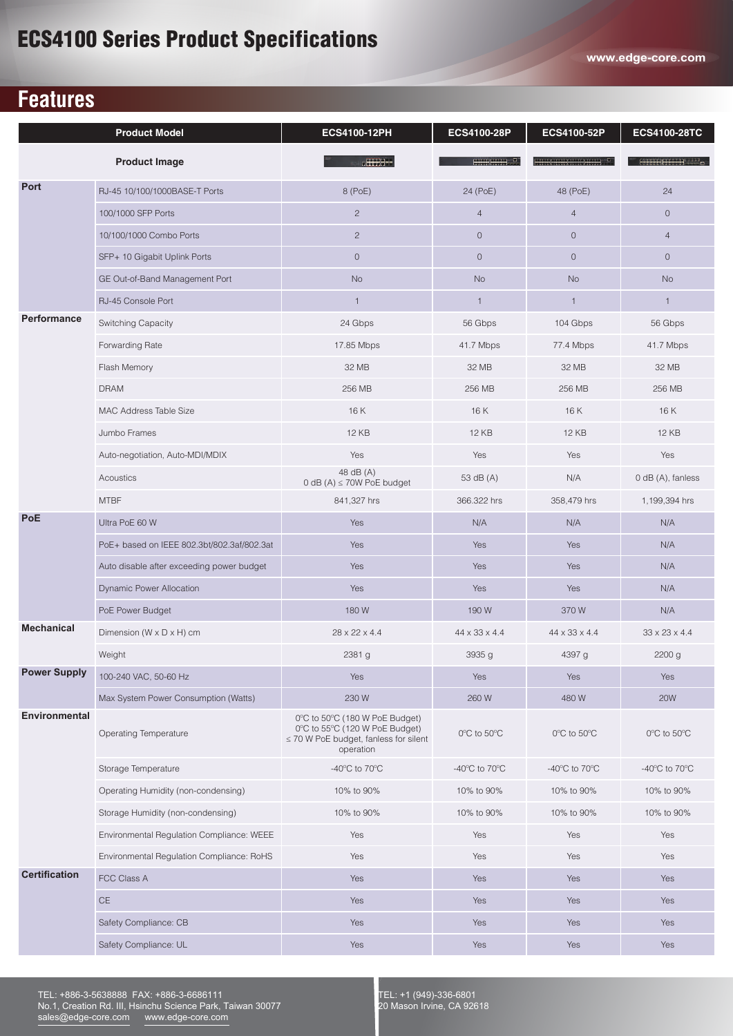# **Features**

|                      | <b>Product Model</b>                       | ECS4100-12PH                                                                                                                | ECS4100-28P                                         | ECS4100-52P                                         | ECS4100-28TC                        |
|----------------------|--------------------------------------------|-----------------------------------------------------------------------------------------------------------------------------|-----------------------------------------------------|-----------------------------------------------------|-------------------------------------|
|                      | <b>Product Image</b>                       | <b>CHEHEE</b>                                                                                                               | mmund T                                             |                                                     | HTTTHETHE LID                       |
| Port                 | RJ-45 10/100/1000BASE-T Ports              | 8 (PoE)                                                                                                                     | 24 (PoE)                                            | 48 (PoE)                                            | 24                                  |
|                      | 100/1000 SFP Ports                         | $\overline{c}$                                                                                                              | $\overline{4}$                                      | $\overline{4}$                                      | $\circ$                             |
|                      | 10/100/1000 Combo Ports                    | $\overline{c}$                                                                                                              | $\circ$                                             | $\mathbf{0}$                                        | $\overline{4}$                      |
|                      | SFP+ 10 Gigabit Uplink Ports               | $\circ$                                                                                                                     | $\circ$                                             | $\mathbf{0}$                                        | $\overline{0}$                      |
|                      | GE Out-of-Band Management Port             | <b>No</b>                                                                                                                   | <b>No</b>                                           | <b>No</b>                                           | <b>No</b>                           |
|                      | RJ-45 Console Port                         | $\mathbf{1}$                                                                                                                | $\mathbf{1}$                                        | $\mathbf{1}$                                        | $\mathbf{1}$                        |
| Performance          | Switching Capacity                         | 24 Gbps                                                                                                                     | 56 Gbps                                             | 104 Gbps                                            | 56 Gbps                             |
|                      | Forwarding Rate                            | 17.85 Mbps                                                                                                                  | 41.7 Mbps                                           | 77.4 Mbps                                           | 41.7 Mbps                           |
|                      | Flash Memory                               | 32 MB                                                                                                                       | 32 MB                                               | 32 MB                                               | 32 MB                               |
|                      | <b>DRAM</b>                                | 256 MB                                                                                                                      | 256 MB                                              | 256 MB                                              | 256 MB                              |
|                      | MAC Address Table Size                     | 16 K                                                                                                                        | 16K                                                 | 16 K                                                | 16 K                                |
|                      | Jumbo Frames                               | <b>12 KB</b>                                                                                                                | <b>12 KB</b>                                        | <b>12 KB</b>                                        | <b>12 KB</b>                        |
|                      | Auto-negotiation, Auto-MDI/MDIX            | Yes                                                                                                                         | Yes                                                 | Yes                                                 | Yes                                 |
|                      | Acoustics                                  | 48 dB (A)<br>0 dB (A) $\leq$ 70W PoE budget                                                                                 | 53 dB (A)                                           | N/A                                                 | 0 dB (A), fanless                   |
|                      | <b>MTBF</b>                                | 841,327 hrs                                                                                                                 | 366.322 hrs                                         | 358,479 hrs                                         | 1,199,394 hrs                       |
| <b>PoE</b>           | Ultra PoE 60 W                             | Yes                                                                                                                         | N/A                                                 | N/A                                                 | N/A                                 |
|                      | PoE+ based on IEEE 802.3bt/802.3af/802.3at | Yes                                                                                                                         | Yes                                                 | Yes                                                 | N/A                                 |
|                      | Auto disable after exceeding power budget  | Yes                                                                                                                         | Yes                                                 | Yes                                                 | N/A                                 |
|                      | <b>Dynamic Power Allocation</b>            | Yes                                                                                                                         | Yes                                                 | Yes                                                 | N/A                                 |
|                      | PoE Power Budget                           | 180 W                                                                                                                       | 190 W                                               | 370W                                                | N/A                                 |
| <b>Mechanical</b>    | Dimension ( $W \times D \times H$ ) cm     | 28 x 22 x 4.4                                                                                                               | 44 x 33 x 4.4                                       | 44 x 33 x 4.4                                       | $33 \times 23 \times 4.4$           |
|                      | Weight                                     | 2381 g                                                                                                                      | 3935 g                                              | 4397 g                                              | 2200 g                              |
| <b>Power Supply</b>  | 100-240 VAC, 50-60 Hz                      | Yes                                                                                                                         | Yes                                                 | Yes                                                 | Yes                                 |
|                      | Max System Power Consumption (Watts)       | 230 W                                                                                                                       | 260 W                                               | 480 W                                               | <b>20W</b>                          |
| <b>Environmental</b> | Operating Temperature                      | 0°C to 50°C (180 W PoE Budget)<br>0°C to 55°C (120 W PoE Budget)<br>$\leq$ 70 W PoE budget, fanless for silent<br>operation | 0°C to 50°C                                         | 0°C to 50°C                                         | 0°C to 50°C                         |
|                      | Storage Temperature                        | -40 $\mathrm{^{\circ}C}$ to 70 $\mathrm{^{\circ}C}$                                                                         | -40 $\mathrm{^{\circ}C}$ to 70 $\mathrm{^{\circ}C}$ | -40 $\mathrm{^{\circ}C}$ to 70 $\mathrm{^{\circ}C}$ | -40 $^{\circ}$ C to 70 $^{\circ}$ C |
|                      | Operating Humidity (non-condensing)        | 10% to 90%                                                                                                                  | 10% to 90%                                          | 10% to 90%                                          | 10% to 90%                          |
|                      | Storage Humidity (non-condensing)          | 10% to 90%                                                                                                                  | 10% to 90%                                          | 10% to 90%                                          | 10% to 90%                          |
|                      | Environmental Regulation Compliance: WEEE  | Yes                                                                                                                         | Yes                                                 | Yes                                                 | Yes                                 |
|                      | Environmental Regulation Compliance: RoHS  | Yes                                                                                                                         | Yes                                                 | Yes                                                 | Yes                                 |
| <b>Certification</b> | FCC Class A                                | Yes                                                                                                                         | Yes                                                 | Yes                                                 | Yes                                 |
|                      | $\mathsf{CE}% _{\mathcal{A}}$              | Yes                                                                                                                         | Yes                                                 | Yes                                                 | Yes                                 |
|                      | Safety Compliance: CB                      | Yes                                                                                                                         | Yes                                                 | Yes                                                 | Yes                                 |
|                      | Safety Compliance: UL                      | Yes                                                                                                                         | Yes                                                 | Yes                                                 | Yes                                 |

TEL: +886-3-5638888 FAX: +886-3-6686111 No.1, Creation Rd. III, Hsinchu Science Park, Taiwan 30077 sales@edge-core.com www.edge-core.com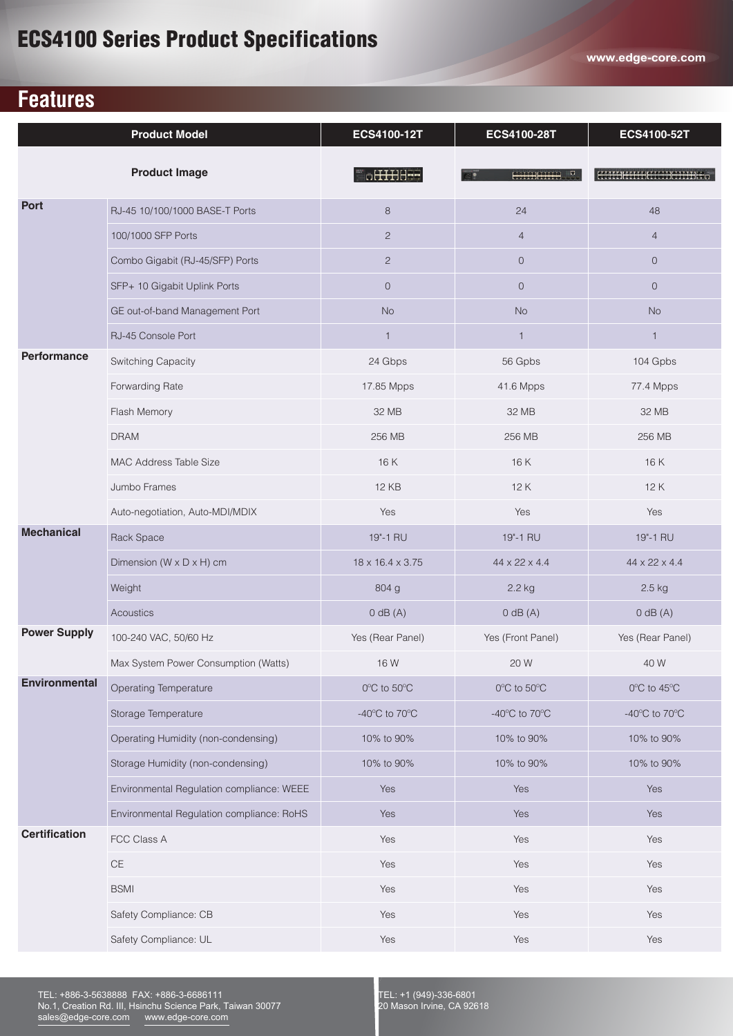# **Features**

|                      | <b>Product Model</b>                      | <b>ECS4100-12T</b>                  | <b>ECS4100-28T</b>                  | ECS4100-52T                         |
|----------------------|-------------------------------------------|-------------------------------------|-------------------------------------|-------------------------------------|
|                      | <b>Product Image</b>                      | a <del>HHIS</del> E                 | HHHHHHH<br>o                        | <u> ETERES (ESCOS) COBOLEZ "</u>    |
| Port                 | RJ-45 10/100/1000 BASE-T Ports            | 8                                   | 24                                  | 48                                  |
|                      | 100/1000 SFP Ports                        | $\overline{2}$                      | $\overline{4}$                      | $\overline{4}$                      |
|                      | Combo Gigabit (RJ-45/SFP) Ports           | 2                                   | $\overline{0}$                      | $\overline{O}$                      |
|                      | SFP+ 10 Gigabit Uplink Ports              | $\mathbf{0}$                        | $\overline{0}$                      | $\overline{0}$                      |
|                      | GE out-of-band Management Port            | <b>No</b>                           | <b>No</b>                           | <b>No</b>                           |
|                      | RJ-45 Console Port                        | $\mathbf{1}$                        | $\mathbf{1}$                        | $\mathbf{1}$                        |
| <b>Performance</b>   | Switching Capacity                        | 24 Gbps                             | 56 Gpbs                             | 104 Gpbs                            |
|                      | Forwarding Rate                           | 17.85 Mpps                          | 41.6 Mpps                           | 77.4 Mpps                           |
|                      | Flash Memory                              | 32 MB                               | 32 MB                               | 32 MB                               |
|                      | <b>DRAM</b>                               | 256 MB                              | 256 MB                              | 256 MB                              |
|                      | MAC Address Table Size                    | 16K                                 | 16 K                                | 16K                                 |
|                      | Jumbo Frames                              | <b>12 KB</b>                        | 12 K                                | 12K                                 |
|                      | Auto-negotiation, Auto-MDI/MDIX           | Yes                                 | Yes                                 | Yes                                 |
| <b>Mechanical</b>    | Rack Space                                | 19"-1 RU                            | 19"-1 RU                            | 19"-1 RU                            |
|                      | Dimension ( $W \times D \times H$ ) cm    | 18 x 16.4 x 3.75                    | 44 x 22 x 4.4                       | 44 x 22 x 4.4                       |
|                      | Weight                                    | 804 g                               | $2.2$ kg                            | 2.5 kg                              |
|                      | Acoustics                                 | $0$ dB $(A)$                        | $0$ dB $(A)$                        | $0$ dB $(A)$                        |
| <b>Power Supply</b>  | 100-240 VAC, 50/60 Hz                     | Yes (Rear Panel)                    | Yes (Front Panel)                   | Yes (Rear Panel)                    |
|                      | Max System Power Consumption (Watts)      | 16 W                                | 20 W                                | 40 W                                |
| <b>Environmental</b> | <b>Operating Temperature</b>              | 0°C to 50°C                         | 0°C to 50°C                         | 0°C to 45°C                         |
|                      | Storage Temperature                       | -40 $^{\circ}$ C to 70 $^{\circ}$ C | -40 $^{\circ}$ C to 70 $^{\circ}$ C | -40 $^{\circ}$ C to 70 $^{\circ}$ C |
|                      | Operating Humidity (non-condensing)       | 10% to 90%                          | 10% to 90%                          | 10% to 90%                          |
|                      | Storage Humidity (non-condensing)         | 10% to 90%                          | 10% to 90%                          | 10% to 90%                          |
|                      | Environmental Regulation compliance: WEEE | Yes                                 | Yes                                 | Yes                                 |
|                      | Environmental Regulation compliance: RoHS | Yes                                 | Yes                                 | Yes                                 |
| <b>Certification</b> | FCC Class A                               | Yes                                 | Yes                                 | Yes                                 |
|                      | $\mathsf{CE}$                             | Yes                                 | Yes                                 | Yes                                 |
|                      | <b>BSMI</b>                               | Yes                                 | Yes                                 | Yes                                 |
|                      | Safety Compliance: CB                     | Yes                                 | Yes                                 | Yes                                 |
|                      | Safety Compliance: UL                     | Yes                                 | Yes                                 | Yes                                 |

TEL: +886-3-5638888 FAX: +886-3-6686111 No.1, Creation Rd. III, Hsinchu Science Park, Taiwan 30077 sales@edge-core.com www.edge-core.com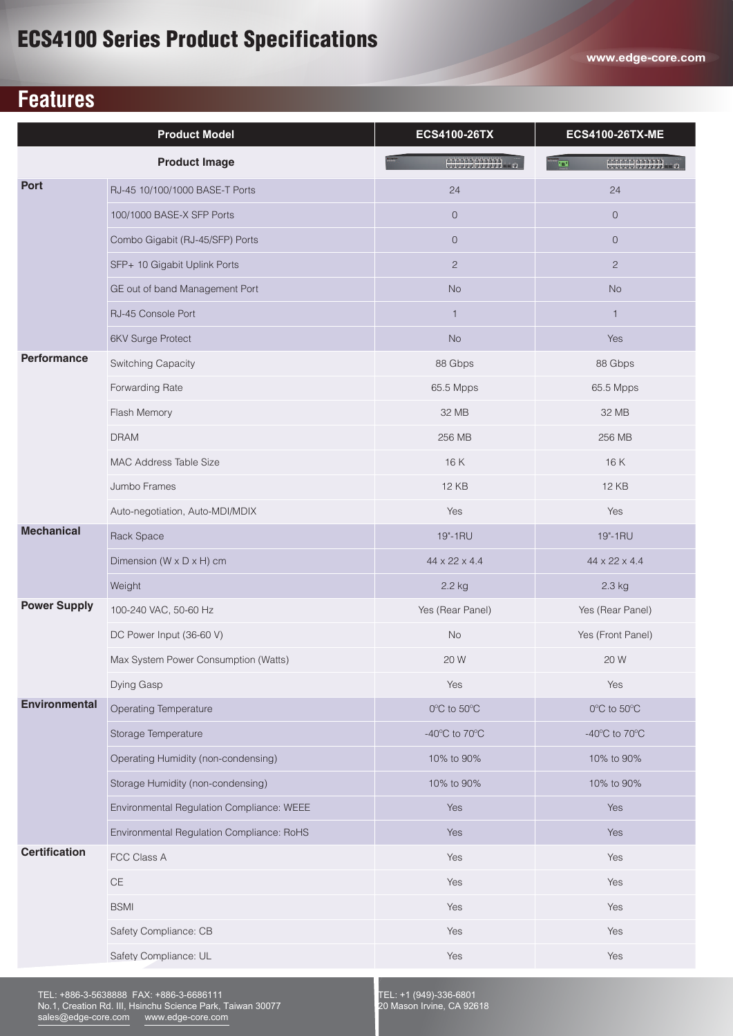# **Features**

| <b>Product Model</b> |                                           | <b>ECS4100-26TX</b>                 | <b>ECS4100-26TX-ME</b>              |
|----------------------|-------------------------------------------|-------------------------------------|-------------------------------------|
| <b>Product Image</b> |                                           | <b>HIMBOON</b>                      | <b>HILBHIIII</b><br><b>TES</b>      |
| <b>Port</b>          | RJ-45 10/100/1000 BASE-T Ports            | 24                                  | 24                                  |
|                      | 100/1000 BASE-X SFP Ports                 | $\mathsf O$                         | $\mathbf{O}$                        |
|                      | Combo Gigabit (RJ-45/SFP) Ports           | $\overline{0}$                      | $\overline{O}$                      |
|                      | SFP+ 10 Gigabit Uplink Ports              | 2                                   | $\overline{2}$                      |
|                      | GE out of band Management Port            | <b>No</b>                           | <b>No</b>                           |
|                      | RJ-45 Console Port                        | $\mathbf{1}$                        | $\mathbf{1}$                        |
|                      | <b>6KV Surge Protect</b>                  | $\rm No$                            | Yes                                 |
| <b>Performance</b>   | Switching Capacity                        | 88 Gbps                             | 88 Gbps                             |
|                      | Forwarding Rate                           | 65.5 Mpps                           | 65.5 Mpps                           |
|                      | Flash Memory                              | 32 MB                               | 32 MB                               |
|                      | <b>DRAM</b>                               | 256 MB                              | 256 MB                              |
|                      | <b>MAC Address Table Size</b>             | 16 K                                | 16K                                 |
|                      | Jumbo Frames                              | <b>12 KB</b>                        | <b>12 KB</b>                        |
|                      | Auto-negotiation, Auto-MDI/MDIX           | Yes                                 | Yes                                 |
| <b>Mechanical</b>    | Rack Space                                | 19"-1RU                             | 19"-1RU                             |
|                      | Dimension ( $W \times D \times H$ ) cm    | 44 x 22 x 4.4                       | 44 x 22 x 4.4                       |
|                      | Weight                                    | 2.2 kg                              | 2.3 kg                              |
| <b>Power Supply</b>  | 100-240 VAC, 50-60 Hz                     | Yes (Rear Panel)                    | Yes (Rear Panel)                    |
|                      | DC Power Input (36-60 V)                  | <b>No</b>                           | Yes (Front Panel)                   |
|                      | Max System Power Consumption (Watts)      | 20 W                                | 20 W                                |
|                      | Dying Gasp                                | Yes                                 | Yes                                 |
| <b>Environmental</b> | <b>Operating Temperature</b>              | $0^{\circ}$ C to $50^{\circ}$ C     | $0^{\circ}$ C to $50^{\circ}$ C     |
|                      | Storage Temperature                       | -40 $^{\circ}$ C to 70 $^{\circ}$ C | -40 $^{\circ}$ C to 70 $^{\circ}$ C |
|                      | Operating Humidity (non-condensing)       | 10% to 90%                          | 10% to 90%                          |
|                      | Storage Humidity (non-condensing)         | 10% to 90%                          | 10% to 90%                          |
|                      | Environmental Regulation Compliance: WEEE | Yes                                 | Yes                                 |
|                      | Environmental Regulation Compliance: RoHS | Yes                                 | Yes                                 |
| <b>Certification</b> | FCC Class A                               | Yes                                 | Yes                                 |
|                      | $\mathsf{CE}$                             | Yes                                 | Yes                                 |
|                      | <b>BSMI</b>                               | Yes                                 | Yes                                 |
|                      | Safety Compliance: CB                     | Yes                                 | Yes                                 |
|                      | Safety Compliance: UL                     | Yes                                 | Yes                                 |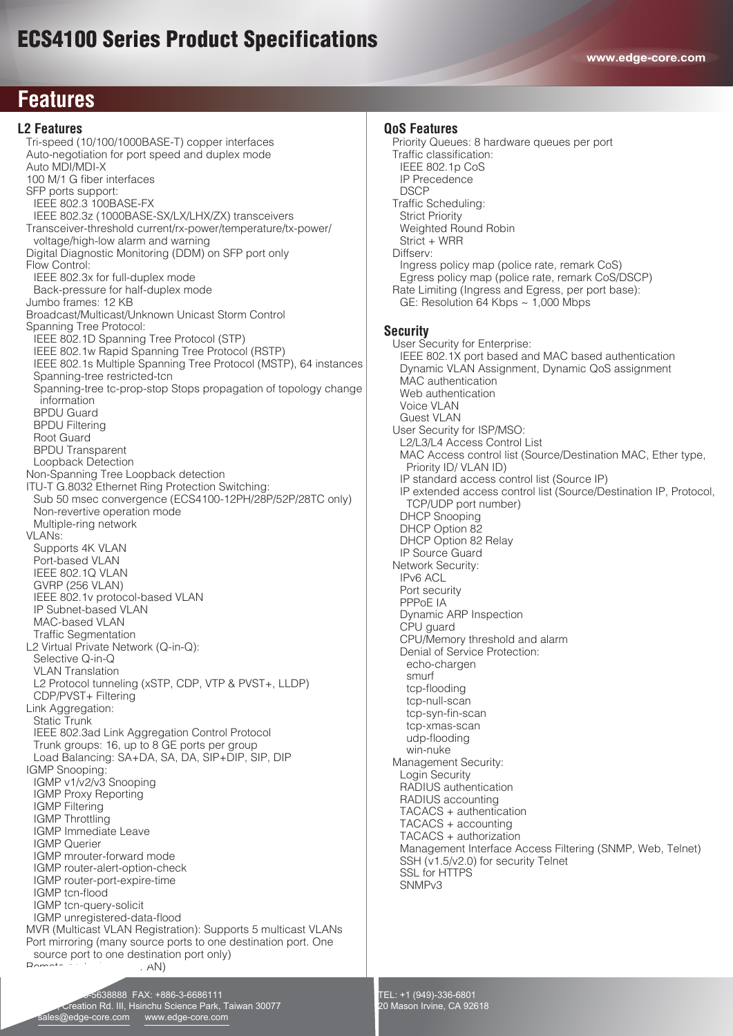## **Features**

#### **L2 Features**

 Tri-speed (10/100/1000BASE-T) copper interfaces Auto-negotiation for port speed and duplex mode Auto MDI/MDI-X 100 M/1 G fiber interfaces SFP ports support: IEEE 802.3 100BASE-FX IEEE 802.3z (1000BASE-SX/LX/LHX/ZX) transceivers Transceiver-threshold current/rx-power/temperature/tx-power/ voltage/high-low alarm and warning Digital Diagnostic Monitoring (DDM) on SFP port only Flow Control: IEEE 802.3x for full-duplex mode Back-pressure for half-duplex mode Jumbo frames: 12 KB Broadcast/Multicast/Unknown Unicast Storm Control Spanning Tree Protocol: IEEE 802.1D Spanning Tree Protocol (STP) IEEE 802.1w Rapid Spanning Tree Protocol (RSTP) IEEE 802.1s Multiple Spanning Tree Protocol (MSTP), 64 instances Spanning-tree restricted-tcn Spanning-tree tc-prop-stop Stops propagation of topology change information BPDU Guard BPDU Filtering Root Guard BPDU Transparent Loopback Detection Non-Spanning Tree Loopback detection ITU-T G.8032 Ethernet Ring Protection Switching: Sub 50 msec convergence (ECS4100-12PH/28P/52P/28TC only) Non-revertive operation mode Multiple-ring network VI ANs: Supports 4K VLAN Port-based VLAN IEEE 802.1Q VLAN GVRP (256 VLAN) IEEE 802.1v protocol-based VLAN IP Subnet-based VLAN MAC-based VLAN Traffic Segmentation L2 Virtual Private Network (Q-in-Q): Selective Q-in-Q VLAN Translation L2 Protocol tunneling (xSTP, CDP, VTP & PVST+, LLDP) CDP/PVST+ Filtering Link Aggregation: Static Trunk IEEE 802.3ad Link Aggregation Control Protocol Trunk groups: 16, up to 8 GE ports per group Load Balancing: SA+DA, SA, DA, SIP+DIP, SIP, DIP IGMP Snooping: IGMP v1/v2/v3 Snooping IGMP Proxy Reporting IGMP Filtering IGMP Throttling IGMP Immediate Leave IGMP Querier IGMP mrouter-forward mode IGMP router-alert-option-check IGMP router-port-expire-time IGMP tcn-flood IGMP tcn-query-solicit IGMP unregistered-data-flood MVR (Multicast VLAN Registration): Supports 5 multicast VLANs Port mirroring (many source ports to one destination port. One source port to one destination port only) Remote port mirror (RSPAN)

TEL: +886-3-5638888 FAX: +886-3-6686111

 No.1, Creation Rd. III, Hsinchu Science Park, Taiwan 30077 sales@edge-core.com www.edge-core.com

**QoS Features** Priority Queues: 8 hardware queues per port Traffic classification: IEEE 802.1p CoS IP Precedence **DSCP**  Traffic Scheduling: Strict Priority Weighted Round Robin Strict + WRR Diffserv: Ingress policy map (police rate, remark CoS) Egress policy map (police rate, remark CoS/DSCP) Rate Limiting (Ingress and Egress, per port base): GE: Resolution 64 Kbps ~ 1,000 Mbps **Security** User Security for Enterprise: IEEE 802.1X port based and MAC based authentication Dynamic VLAN Assignment, Dynamic QoS assignment MAC authentication Web authentication Voice VLAN Guest VLAN User Security for ISP/MSO: L2/L3/L4 Access Control List MAC Access control list (Source/Destination MAC, Ether type, Priority ID/ VLAN ID) IP standard access control list (Source IP) IP extended access control list (Source/Destination IP, Protocol, TCP/UDP port number) DHCP Snooping DHCP Option 82 DHCP Option 82 Relay IP Source Guard Network Security: IPv6 ACL Port security PPPoE IA Dynamic ARP Inspection CPU guard CPU/Memory threshold and alarm Denial of Service Protection: echo-chargen smurf tcp-flooding tcp-null-scan tcp-syn-fin-scan tcp-xmas-scan udp-flooding win-nuke Management Security: Login Security RADIUS authentication RADIUS accounting TACACS + authentication TACACS + accounting TACACS + authorization Management Interface Access Filtering (SNMP, Web, Telnet) SSH (v1.5/v2.0) for security Telnet SSL for HTTPS SNMPv3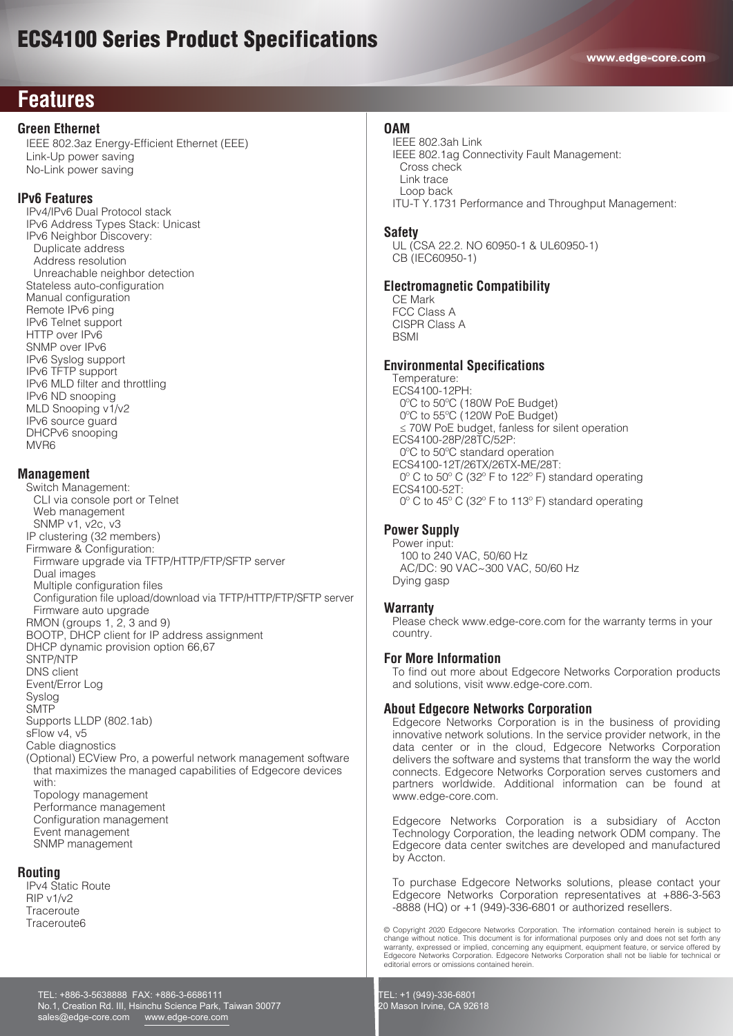# **Features**

## **Green Ethernet**

 IEEE 802.3az Energy-Efficient Ethernet (EEE) Link-Up power saving No-Link power saving

## **IPv6 Features**

 IPv4/IPv6 Dual Protocol stack IPv6 Address Types Stack: Unicast IPv6 Neighbor Discovery: Duplicate address Address resolution Unreachable neighbor detection Stateless auto-configuration Manual configuration Remote IPv6 ping IPv6 Telnet support HTTP over IPv6 SNMP over IPv6 IPv6 Syslog support IPv6 TFTP support IPv6 MLD filter and throttling IPv6 ND snooping MLD Snooping v1/v2 IPv6 source guard DHCPv6 snooping MVR6

## **Management**

 Switch Management: CLI via console port or Telnet Web management SNMP v1, v2c, v3 IP clustering (32 members) Firmware & Configuration: Firmware upgrade via TFTP/HTTP/FTP/SFTP server Dual images Multiple configuration files Configuration file upload/download via TFTP/HTTP/FTP/SFTP server Firmware auto upgrade RMON (groups 1, 2, 3 and 9) BOOTP, DHCP client for IP address assignment DHCP dynamic provision option 66,67 SNTP/NTP DNS client Event/Error Log Syslog **SMTP**  Supports LLDP (802.1ab) sFlow v4, v5 Cable diagnostics (Optional) ECView Pro, a powerful network management software that maximizes the managed capabilities of Edgecore devices with: Topology management Performance management Configuration management Event management SNMP management

## **Routing**

 IPv4 Static Route RIP v1/v2 **Traceroute** Traceroute6

### **OAM**

 IEEE 802.3ah Link IEEE 802.1ag Connectivity Fault Management: Cross check Link trace Loop back ITU-T Y.1731 Performance and Throughput Management:

### **Safety**

 UL (CSA 22.2. NO 60950-1 & UL60950-1) CB (IEC60950-1)

## **Electromagnetic Compatibility**

 CE Mark FCC Class A CISPR Class A **BSMI** 

## **Environmental Specifications**

 Temperature: ECS4100-12PH: 0ºC to 50ºC (180W PoE Budget) 0ºC to 55ºC (120W PoE Budget) ≤ 70W PoE budget, fanless for silent operation ECS4100-28P/28TC/52P: 0ºC to 50ºC standard operation ECS4100-12T/26TX/26TX-ME/28T: 0º C to 50º C (32º F to 122º F) standard operating ECS4100-52T: 0º C to 45º C (32º F to 113º F) standard operating

## **Power Supply**

 Power input: 100 to 240 VAC, 50/60 Hz AC/DC: 90 VAC~300 VAC, 50/60 Hz Dying gasp

### **Warranty**

 Please check www.edge-core.com for the warranty terms in your country.

## **For More Information**

To find out more about Edgecore Networks Corporation products and solutions, visit www.edge-core.com.

## **About Edgecore Networks Corporation**

Edgecore Networks Corporation is in the business of providing innovative network solutions. In the service provider network, in the data center or in the cloud, Edgecore Networks Corporation delivers the software and systems that transform the way the world connects. Edgecore Networks Corporation serves customers and partners worldwide. Additional information can be found at www.edge-core.com.

Edgecore Networks Corporation is a subsidiary of Accton Technology Corporation, the leading network ODM company. The Edgecore data center switches are developed and manufactured by Accton.

To purchase Edgecore Networks solutions, please contact your Edgecore Networks Corporation representatives at +886-3-563 -8888 (HQ) or +1 (949)-336-6801 or authorized resellers.

© Copyright 2020 Edgecore Networks Corporation. The information contained herein is subject to change without notice. This document is for informational purposes only and does not set forth any warranty, expressed or implied, concerning any equipment, equipment feature, or service offered by<br>Edgecore Networks Corporation. Edgecore Networks Corporation shall not be liable for technical or<br>editorial errors or omiss

TEL: +886-3-5638888 FAX: +886-3-6686111 No.1, Creation Rd. III, Hsinchu Science Park, Taiwan 30077 sales@edge-core.com www.edge-core.com